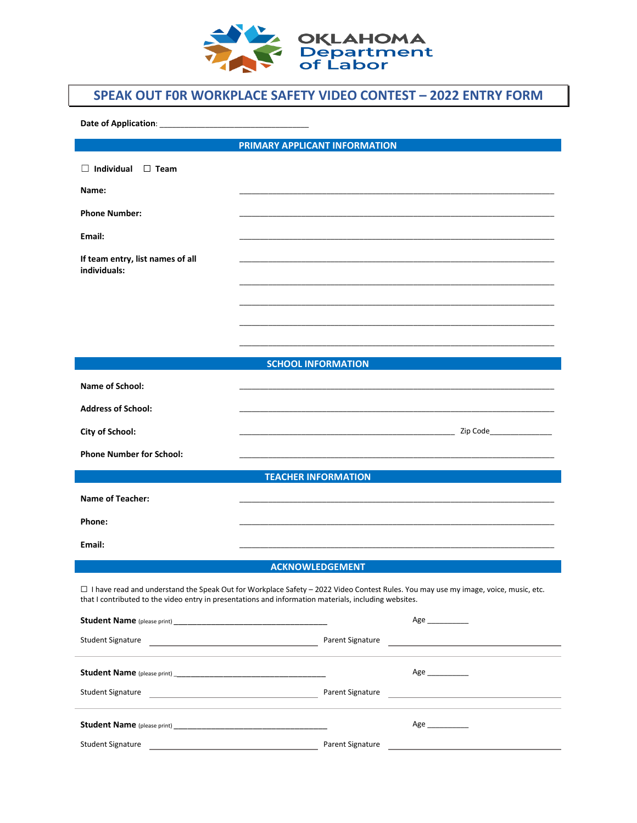

## **SPEAK OUT F0R WORKPLACE SAFETY VIDEO CONTEST – 2022 ENTRY FORM**

**Date of Application**: \_\_\_\_\_\_\_\_\_\_\_\_\_\_\_\_\_\_\_\_\_\_\_\_\_\_\_\_\_\_\_\_\_\_\_\_

**PRIMARY APPLICANT INFORMATION** 

| $\Box$ Individual $\Box$ Team                                                                                                                                                                                                                 |                                                                                                                                                                                                                                     |  |  |
|-----------------------------------------------------------------------------------------------------------------------------------------------------------------------------------------------------------------------------------------------|-------------------------------------------------------------------------------------------------------------------------------------------------------------------------------------------------------------------------------------|--|--|
| Name:                                                                                                                                                                                                                                         |                                                                                                                                                                                                                                     |  |  |
| <b>Phone Number:</b>                                                                                                                                                                                                                          |                                                                                                                                                                                                                                     |  |  |
| Email:                                                                                                                                                                                                                                        |                                                                                                                                                                                                                                     |  |  |
| If team entry, list names of all<br>individuals:                                                                                                                                                                                              |                                                                                                                                                                                                                                     |  |  |
|                                                                                                                                                                                                                                               |                                                                                                                                                                                                                                     |  |  |
|                                                                                                                                                                                                                                               |                                                                                                                                                                                                                                     |  |  |
|                                                                                                                                                                                                                                               |                                                                                                                                                                                                                                     |  |  |
|                                                                                                                                                                                                                                               |                                                                                                                                                                                                                                     |  |  |
|                                                                                                                                                                                                                                               | <b>SCHOOL INFORMATION</b>                                                                                                                                                                                                           |  |  |
| <b>Name of School:</b>                                                                                                                                                                                                                        |                                                                                                                                                                                                                                     |  |  |
| <b>Address of School:</b>                                                                                                                                                                                                                     |                                                                                                                                                                                                                                     |  |  |
| <b>City of School:</b>                                                                                                                                                                                                                        | <b>Example 2</b> Separate 2 Separate 2 Separate 2 Separate 2 Separate 2 Separate 2 Separate 2 Separate 2 Separate 2 Separate 2 Separate 2 Separate 2 Separate 2 Separate 2 Separate 2 Separate 2 Separate 2 Separate 2 Separate 2 S |  |  |
| <b>Phone Number for School:</b>                                                                                                                                                                                                               |                                                                                                                                                                                                                                     |  |  |
|                                                                                                                                                                                                                                               | <b>TEACHER INFORMATION</b>                                                                                                                                                                                                          |  |  |
| <b>Name of Teacher:</b>                                                                                                                                                                                                                       |                                                                                                                                                                                                                                     |  |  |
| Phone:                                                                                                                                                                                                                                        |                                                                                                                                                                                                                                     |  |  |
|                                                                                                                                                                                                                                               |                                                                                                                                                                                                                                     |  |  |
| Email:                                                                                                                                                                                                                                        |                                                                                                                                                                                                                                     |  |  |
| <b>ACKNOWLEDGEMENT</b>                                                                                                                                                                                                                        |                                                                                                                                                                                                                                     |  |  |
| □ I have read and understand the Speak Out for Workplace Safety - 2022 Video Contest Rules. You may use my image, voice, music, etc.<br>that I contributed to the video entry in presentations and information materials, including websites. |                                                                                                                                                                                                                                     |  |  |
|                                                                                                                                                                                                                                               | Age ____________                                                                                                                                                                                                                    |  |  |
| <b>Student Signature</b><br><u> 1989 - Johann Barn, fransk politik (d. 1989)</u>                                                                                                                                                              | Parent Signature                                                                                                                                                                                                                    |  |  |
|                                                                                                                                                                                                                                               | Age ____________                                                                                                                                                                                                                    |  |  |
| <b>Student Signature</b><br><u> 1989 - Johann Barn, mars eta bainar eta industrial eta industrial eta industrial eta industrial eta industria</u>                                                                                             | Parent Signature<br>the control of the control of the control of the control of the control of                                                                                                                                      |  |  |
|                                                                                                                                                                                                                                               | Age ____________                                                                                                                                                                                                                    |  |  |
| <b>Student Signature</b>                                                                                                                                                                                                                      | Parent Signature                                                                                                                                                                                                                    |  |  |